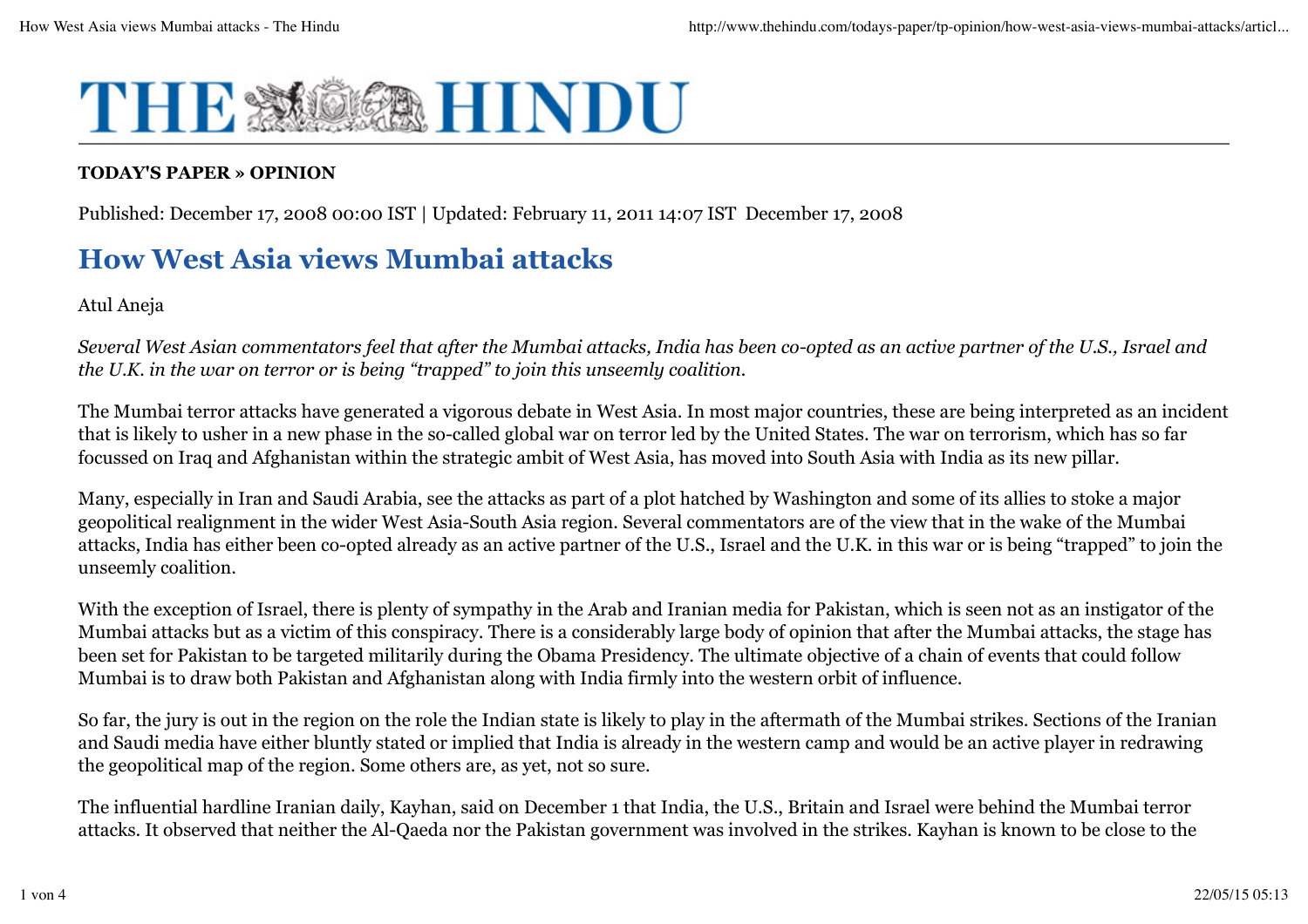

## **TODAY'S PAPER » OPINION**

Published: December 17, 2008 00:00 IST | Updated: February 11, 2011 14:07 IST December 17, 2008

# **How West Asia views Mumbai attacks**

Atul Aneja

*Several West Asian commentators feel that after the Mumbai attacks, India has been co-opted as an active partner of the U.S., Israel and the U.K. in the war on terror or is being "trapped" to join this unseemly coalition.*

The Mumbai terror attacks have generated a vigorous debate in West Asia. In most major countries, these are being interpreted as an incident that is likely to usher in a new phase in the so-called global war on terror led by the United States. The war on terrorism, which has so far focussed on Iraq and Afghanistan within the strategic ambit of West Asia, has moved into South Asia with India as its new pillar.

Many, especially in Iran and Saudi Arabia, see the attacks as part of a plot hatched by Washington and some of its allies to stoke a major geopolitical realignment in the wider West Asia-South Asia region. Several commentators are of the view that in the wake of the Mumbai attacks, India has either been co-opted already as an active partner of the U.S., Israel and the U.K. in this war or is being "trapped" to join the unseemly coalition.

With the exception of Israel, there is plenty of sympathy in the Arab and Iranian media for Pakistan, which is seen not as an instigator of the Mumbai attacks but as a victim of this conspiracy. There is a considerably large body of opinion that after the Mumbai attacks, the stage has been set for Pakistan to be targeted militarily during the Obama Presidency. The ultimate objective of a chain of events that could follow Mumbai is to draw both Pakistan and Afghanistan along with India firmly into the western orbit of influence.

So far, the jury is out in the region on the role the Indian state is likely to play in the aftermath of the Mumbai strikes. Sections of the Iranian and Saudi media have either bluntly stated or implied that India is already in the western camp and would be an active player in redrawing the geopolitical map of the region. Some others are, as yet, not so sure.

The influential hardline Iranian daily, Kayhan, said on December 1 that India, the U.S., Britain and Israel were behind the Mumbai terror attacks. It observed that neither the Al-Qaeda nor the Pakistan government was involved in the strikes. Kayhan is known to be close to the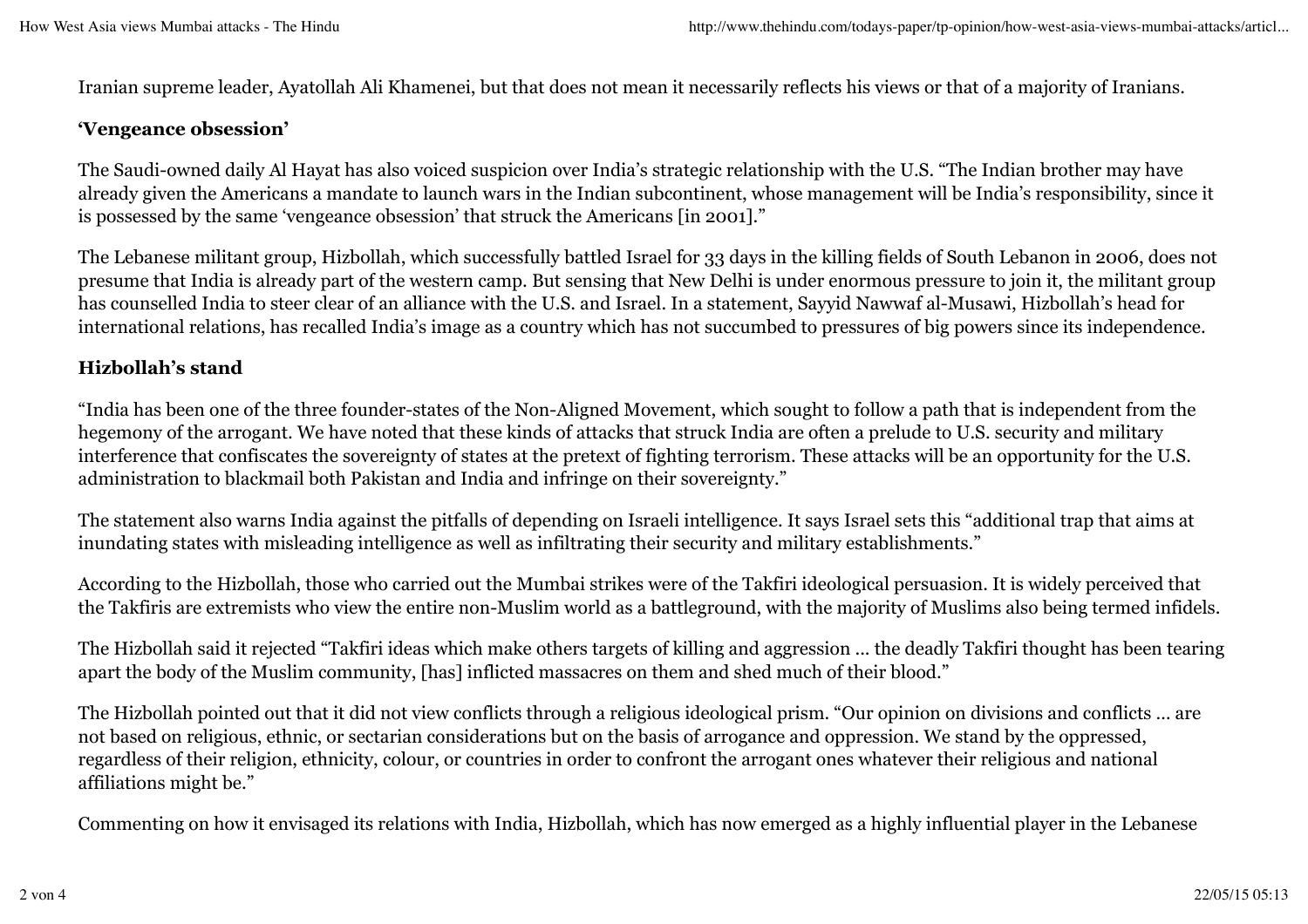Iranian supreme leader, Ayatollah Ali Khamenei, but that does not mean it necessarily reflects his views or that of a majority of Iranians.

#### **'Vengeance obsession'**

The Saudi-owned daily Al Hayat has also voiced suspicion over India's strategic relationship with the U.S. "The Indian brother may have already given the Americans a mandate to launch wars in the Indian subcontinent, whose management will be India's responsibility, since it is possessed by the same 'vengeance obsession' that struck the Americans [in 2001]."

The Lebanese militant group, Hizbollah, which successfully battled Israel for 33 days in the killing fields of South Lebanon in 2006, does not presume that India is already part of the western camp. But sensing that New Delhi is under enormous pressure to join it, the militant group has counselled India to steer clear of an alliance with the U.S. and Israel. In a statement, Sayyid Nawwaf al-Musawi, Hizbollah's head for international relations, has recalled India's image as a country which has not succumbed to pressures of big powers since its independence.

#### **Hizbollah's stand**

"India has been one of the three founder-states of the Non-Aligned Movement, which sought to follow a path that is independent from the hegemony of the arrogant. We have noted that these kinds of attacks that struck India are often a prelude to U.S. security and military interference that confiscates the sovereignty of states at the pretext of fighting terrorism. These attacks will be an opportunity for the U.S. administration to blackmail both Pakistan and India and infringe on their sovereignty."

The statement also warns India against the pitfalls of depending on Israeli intelligence. It says Israel sets this "additional trap that aims at inundating states with misleading intelligence as well as infiltrating their security and military establishments."

According to the Hizbollah, those who carried out the Mumbai strikes were of the Takfiri ideological persuasion. It is widely perceived that the Takfiris are extremists who view the entire non-Muslim world as a battleground, with the majority of Muslims also being termed infidels.

The Hizbollah said it rejected "Takfiri ideas which make others targets of killing and aggression ... the deadly Takfiri thought has been tearing apart the body of the Muslim community, [has] inflicted massacres on them and shed much of their blood."

The Hizbollah pointed out that it did not view conflicts through a religious ideological prism. "Our opinion on divisions and conflicts … are not based on religious, ethnic, or sectarian considerations but on the basis of arrogance and oppression. We stand by the oppressed, regardless of their religion, ethnicity, colour, or countries in order to confront the arrogant ones whatever their religious and national affiliations might be."

Commenting on how it envisaged its relations with India, Hizbollah, which has now emerged as a highly influential player in the Lebanese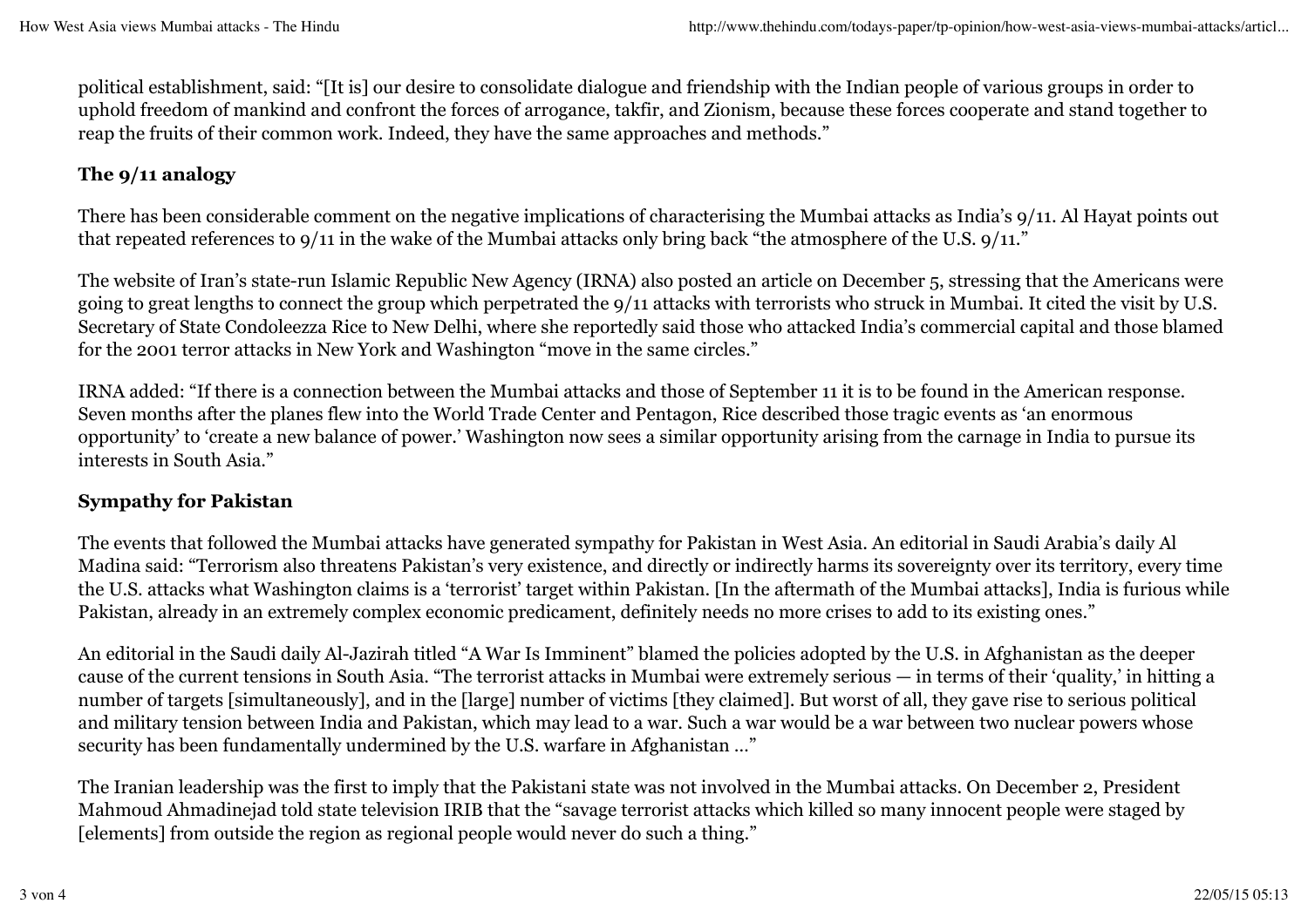political establishment, said: "[It is] our desire to consolidate dialogue and friendship with the Indian people of various groups in order to uphold freedom of mankind and confront the forces of arrogance, takfir, and Zionism, because these forces cooperate and stand together to reap the fruits of their common work. Indeed, they have the same approaches and methods."

# **The 9/11 analogy**

There has been considerable comment on the negative implications of characterising the Mumbai attacks as India's 9/11. Al Hayat points out that repeated references to 9/11 in the wake of the Mumbai attacks only bring back "the atmosphere of the U.S. 9/11."

The website of Iran's state-run Islamic Republic New Agency (IRNA) also posted an article on December 5, stressing that the Americans were going to great lengths to connect the group which perpetrated the 9/11 attacks with terrorists who struck in Mumbai. It cited the visit by U.S. Secretary of State Condoleezza Rice to New Delhi, where she reportedly said those who attacked India's commercial capital and those blamed for the 2001 terror attacks in New York and Washington "move in the same circles."

IRNA added: "If there is a connection between the Mumbai attacks and those of September 11 it is to be found in the American response. Seven months after the planes flew into the World Trade Center and Pentagon, Rice described those tragic events as 'an enormous opportunity' to 'create a new balance of power.' Washington now sees a similar opportunity arising from the carnage in India to pursue its interests in South Asia."

## **Sympathy for Pakistan**

The events that followed the Mumbai attacks have generated sympathy for Pakistan in West Asia. An editorial in Saudi Arabia's daily Al Madina said: "Terrorism also threatens Pakistan's very existence, and directly or indirectly harms its sovereignty over its territory, every time the U.S. attacks what Washington claims is a 'terrorist' target within Pakistan. [In the aftermath of the Mumbai attacks], India is furious while Pakistan, already in an extremely complex economic predicament, definitely needs no more crises to add to its existing ones."

An editorial in the Saudi daily Al-Jazirah titled "A War Is Imminent" blamed the policies adopted by the U.S. in Afghanistan as the deeper cause of the current tensions in South Asia. "The terrorist attacks in Mumbai were extremely serious — in terms of their 'quality,' in hitting a number of targets [simultaneously], and in the [large] number of victims [they claimed]. But worst of all, they gave rise to serious political and military tension between India and Pakistan, which may lead to a war. Such a war would be a war between two nuclear powers whose security has been fundamentally undermined by the U.S. warfare in Afghanistan …"

The Iranian leadership was the first to imply that the Pakistani state was not involved in the Mumbai attacks. On December 2, President Mahmoud Ahmadinejad told state television IRIB that the "savage terrorist attacks which killed so many innocent people were staged by [elements] from outside the region as regional people would never do such a thing."